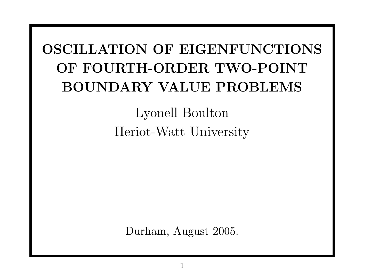## OSCILLATION OF EIGENFUNCTIONS OF FOURTH-ORDER TWO-POINT BOUNDARY VALUE PROBLEMS

Lyonell Boulton Heriot-Watt University

Durham, August 2005.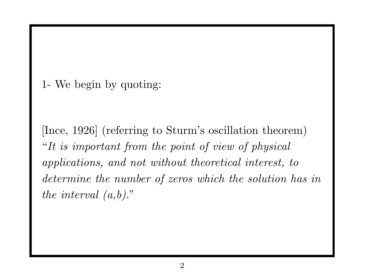1- We begin by quoting:

[Ince, 1926] (referring to Sturm's oscillation theorem) "It is important from the point of view of physical applications, and not without theoretical interest, to determine the number of zeros which the solution has in the interval  $(a,b)$ ."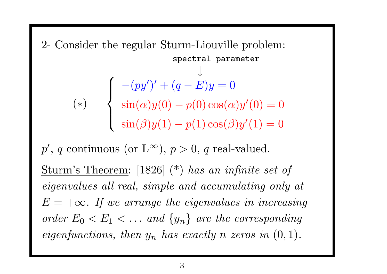2- Consider the regular Sturm-Liouville problem:

\n
$$
\begin{aligned}\n\text{spectral parameter} \\
\downarrow \\
(\ast) \\
(\ast) \\
\text{sin}(\alpha)y(0) - p(0)\cos(\alpha)y'(0) = 0 \\
\text{sin}(\beta)y(1) - p(1)\cos(\beta)y'(1) = 0\n\end{aligned}
$$

 $p'$ , q continuous (or  $L^{\infty}$ ),  $p > 0$ , q real-valued. Sturm's Theorem: [1826] (\*) has an infinite set of eigenvalues all real, simple and accumulating only at  $E = +\infty$ . If we arrange the eigenvalues in increasing order  $E_0 < E_1 < \dots$  and  $\{y_n\}$  are the corresponding eigenfunctions, then  $y_n$  has exactly n zeros in  $(0, 1)$ .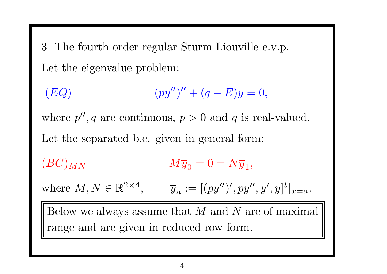3- The fourth-order regular Sturm-Liouville e.v.p. Let the eigenvalue problem:

(EQ)  $(py'')'' + (q - E)y = 0,$ 

where  $p''$ , q are continuous,  $p > 0$  and q is real-valued. Let the separated b.c. given in general form:

 $(BC)_{MN}$   $M\overline{y}_0 = 0 = N\overline{y}_1,$ 

where  $M, N \in \mathbb{R}^{2 \times 4}$ ,  $\overline{y}_a := [(py'')', py'', y', y']^t|_{x=a}$ .

Below we always assume that  $M$  and  $N$  are of maximal range and are given in reduced row form.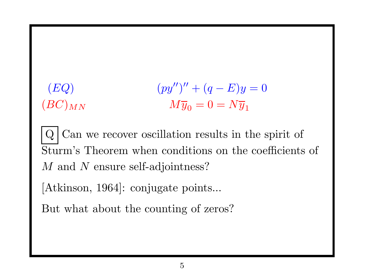## (EQ)  $(py'')'' + (q - E)y = 0$  $(M\overline{y}_0 = 0 = N\overline{y}_1)$

 $Q$  Can we recover oscillation results in the spirit of Sturm's Theorem when conditions on the coefficients of M and N ensure self-adjointness?

[Atkinson, 1964]: conjugate points...

But what about the counting of zeros?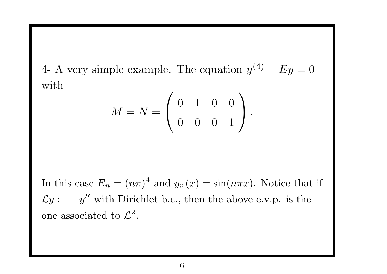4- A very simple example. The equation  $y^{(4)} - Ey = 0$ with

$$
M = N = \left( \begin{array}{rrr} 0 & 1 & 0 & 0 \\ 0 & 0 & 0 & 1 \end{array} \right).
$$

In this case  $E_n = (n\pi)^4$  and  $y_n(x) = \sin(n\pi x)$ . Notice that if  $\mathcal{L}y := -y''$  with Dirichlet b.c., then the above e.v.p. is the one associated to  $\mathcal{L}^2$ .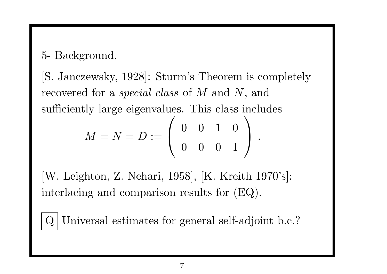5- Background.

[S. Janczewsky, 1928]: Sturm's Theorem is completely recovered for a *special class* of M and N, and sufficiently large eigenvalues. This class includes

$$
M = N = D := \left( \begin{array}{rrr} 0 & 0 & 1 & 0 \\ 0 & 0 & 0 & 1 \end{array} \right) .
$$

[W. Leighton, Z. Nehari, 1958], [K. Kreith 1970's]: interlacing and comparison results for (EQ).

Universal estimates for general self-adjoint b.c.?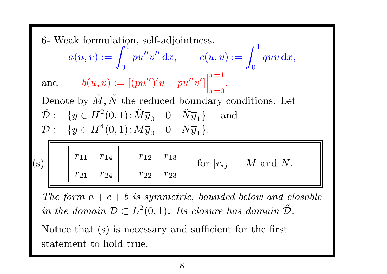6- Weak formulation, self-adjointness.

 $a(u, v) := \int_0^1 pu''v'' dx, \qquad c(u, v) := \int_0^1 quv dx,$ 

and  $b(u, v) := [(pu'')'v - pu''v']\Big|_{x=0}^{x=1}$ .

Denote by  $\tilde{M}$  $,\tilde{N}$ the reduced boundary conditions. Let  $\tilde{\mathcal{D}}$  $:= \{y \in H^2(0,1)\!:\!\tilde{M}\overline{y}_0\!=\!0\!=\!\tilde{N}\overline{y}_1\}\quad \text{ and }$  $\mathcal{D} := \{y \in H^4(0,1) : M\overline{y}_0 = 0 = N\overline{y}_1\}.$ 

| (s) |  |  | $\begin{array}{cc}  r_{11} & r_{14} \end{array}$ $\begin{array}{c}  r_{12} & r_{13} \end{array}$<br>$r_{21}$ $r_{24}$   $r_{22}$ $r_{23}$ |  |  |  | for $[r_{ij}] = M$ and N. |
|-----|--|--|-------------------------------------------------------------------------------------------------------------------------------------------|--|--|--|---------------------------|
|-----|--|--|-------------------------------------------------------------------------------------------------------------------------------------------|--|--|--|---------------------------|

The form  $a + c + b$  is symmetric, bounded below and closable in the domain  $\mathcal{D} \subset L^2(0,1)$ . Its closure has domain  $\tilde{\mathcal{D}}$ .

Notice that (s) is necessary and sufficient for the first statement to hold true.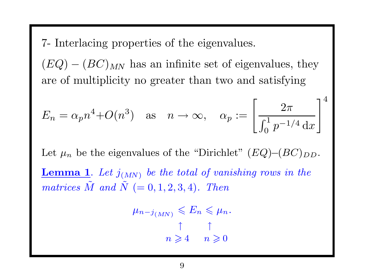7- Interlacing properties of the eigenvalues.

 $(EQ) - (BC)_{MN}$  has an infinite set of eigenvalues, they are of multiplicity no greater than two and satisfying

$$
E_n = \alpha_p n^4 + O(n^3) \quad \text{as} \quad n \to \infty, \quad \alpha_p := \left[\frac{2\pi}{\int_0^1 p^{-1/4} \, dx}\right]^4
$$

Let  $\mu_n$  be the eigenvalues of the "Dirichlet" (EQ)–(BC)<sub>DD</sub>. **Lemma 1.** Let  $j_{(MN)}$  be the total of vanishing rows in the  $matrices \ \tilde M$  $\tilde{M}$  and  $\tilde{N}$  $(= 0, 1, 2, 3, 4).$  Then

$$
\mu_{n-j_{(MN)}} \leqslant E_n \leqslant \mu_n.
$$
\n
$$
\uparrow \qquad \uparrow
$$
\n
$$
n \geqslant 4 \qquad n \geqslant 0
$$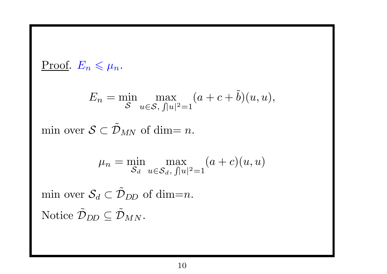Proof. 
$$
E_n \le \mu_n
$$
.  
\n
$$
E_n = \min_{\mathcal{S}} \max_{u \in \mathcal{S}, \int |u|^2 = 1} (a + c + \tilde{b})(u, u),
$$
\nmin over  $\mathcal{S} \subset \tilde{\mathcal{D}}_{MN}$  of dim = n.  
\n
$$
\mu_n = \min_{\mathcal{S}_d} \max_{u \in \mathcal{S}_d, \int |u|^2 = 1} (a + c)(u, u)
$$
\nmin over  $\mathcal{S}_d \subset \tilde{\mathcal{D}}_{DD}$  of dim=n.  
\nNotice  $\tilde{\mathcal{D}}_{DD} \subseteq \tilde{\mathcal{D}}_{MN}$ .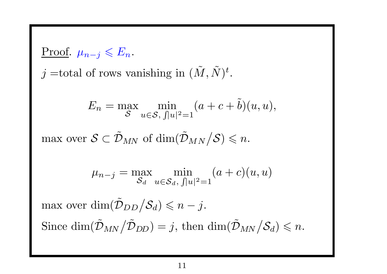<u>Proof</u>.  $\mu_{n-j} \leqslant E_n$ .  $j =$ total of rows vanishing in  $(\tilde{M})$  $,\tilde{N}$  $\big)^t.$  $E_n=\max$ S  $\min_{u \in \mathcal{S}, \, \int |u|^2 = 1} (a + c + \tilde{b})$  $b)(u,u),$ max over  $\mathcal{S}\subset\tilde{\mathcal{D}}$  $_{MN}$  of  $\dim(\tilde{\mathcal{D}})$  $_{MN}/\mathcal{S})\leqslant n.$  $\mu_{n-j} = \max_{S_d} \min_{u \in S_d, \|u\|^2 = 1} (a + c)(u, u)$ 

 $\max$  over  $\dim(\tilde{\mathcal{D}})$  $_{DD}/\mathcal{S}_d) \leqslant n - j.$ Since  $\dim(\tilde{\mathcal{D}})$  $\delta_{MN} / \tilde{\mathcal{D}}_{DD}) = j, \text{ then } \dim(\tilde{\mathcal{D}}_{MN} / \mathcal{S}_d) \leqslant n.$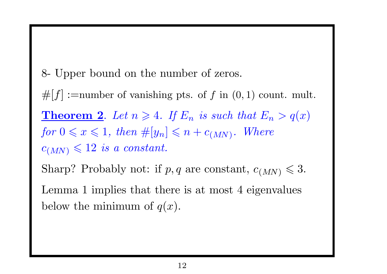8- Upper bound on the number of zeros.

 $#[f] :=$ number of vanishing pts. of f in  $(0, 1)$  count. mult.

**Theorem 2.** Let  $n \geq 4$ . If  $E_n$  is such that  $E_n > q(x)$ for  $0 \leq x \leq 1$ , then  $\#[y_n] \leq n + c_{(MN)}$ . Where  $c_{(MN)} \leqslant 12$  is a constant.

Sharp? Probably not: if  $p, q$  are constant,  $c_{(MN)} \leq 3$ .

Lemma 1 implies that there is at most 4 eigenvalues below the minimum of  $q(x)$ .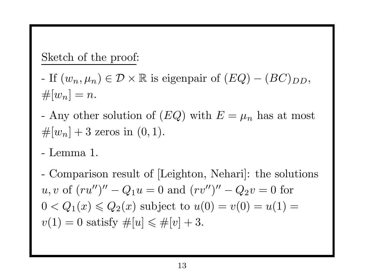Sketch of the proof:

- If  $(w_n, \mu_n) \in \mathcal{D} \times \mathbb{R}$  is eigenpair of  $(EQ) (BC)_{DD}$ ,  $\#[w_n] = n.$
- Any other solution of  $(EQ)$  with  $E = \mu_n$  has at most  $#[w_n] + 3$  zeros in  $(0, 1)$ .
- Lemma 1.
- Comparison result of [Leighton, Nehari]: the solutions u, v of  $(ru'')'' - Q_1u = 0$  and  $(rv'')'' - Q_2v = 0$  for  $0 < Q_1(x) \leq Q_2(x)$  subject to  $u(0) = v(0) = u(1) = 0$  $v(1) = 0$  satisfy  $\#[u] \leq \#[v] + 3$ .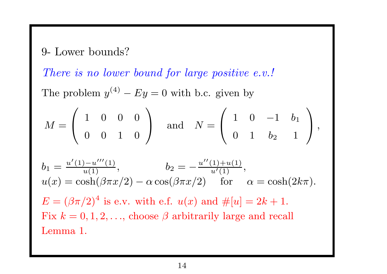9- Lower bounds?

There is no lower bound for large positive e.v.!

The problem  $y^{(4)} - Ey = 0$  with b.c. given by

$$
M = \left(\begin{array}{rrr} 1 & 0 & 0 & 0 \\ 0 & 0 & 1 & 0 \end{array}\right) \quad \text{and} \quad N = \left(\begin{array}{rrr} 1 & 0 & -1 & b_1 \\ 0 & 1 & b_2 & 1 \end{array}\right),
$$

$$
b_1 = \frac{u'(1) - u''(1)}{u(1)}, \qquad b_2 = -\frac{u''(1) + u(1)}{u'(1)},
$$
  
 
$$
u(x) = \cosh(\beta \pi x/2) - \alpha \cos(\beta \pi x/2) \qquad \text{for} \qquad \alpha = \cosh(2k\pi).
$$

 $E = (\beta \pi/2)^4$  is e.v. with e.f.  $u(x)$  and  $\#[u] = 2k + 1$ . Fix  $k = 0, 1, 2, \ldots$ , choose  $\beta$  arbitrarily large and recall Lemma 1.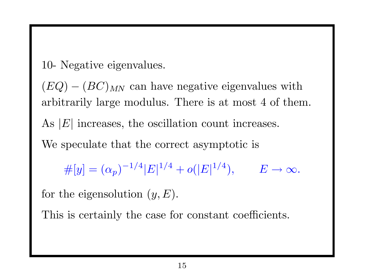10- Negative eigenvalues.

 $(EQ) - (BC)_{MN}$  can have negative eigenvalues with arbitrarily large modulus. There is at most 4 of them. As  $|E|$  increases, the oscillation count increases. We speculate that the correct asymptotic is

 $\#[y] = (\alpha_p)^{-1/4} |E|^{1/4} + o(|E|^{1/4}), \qquad E \to \infty.$ 

for the eigensolution  $(y, E)$ .

This is certainly the case for constant coefficients.